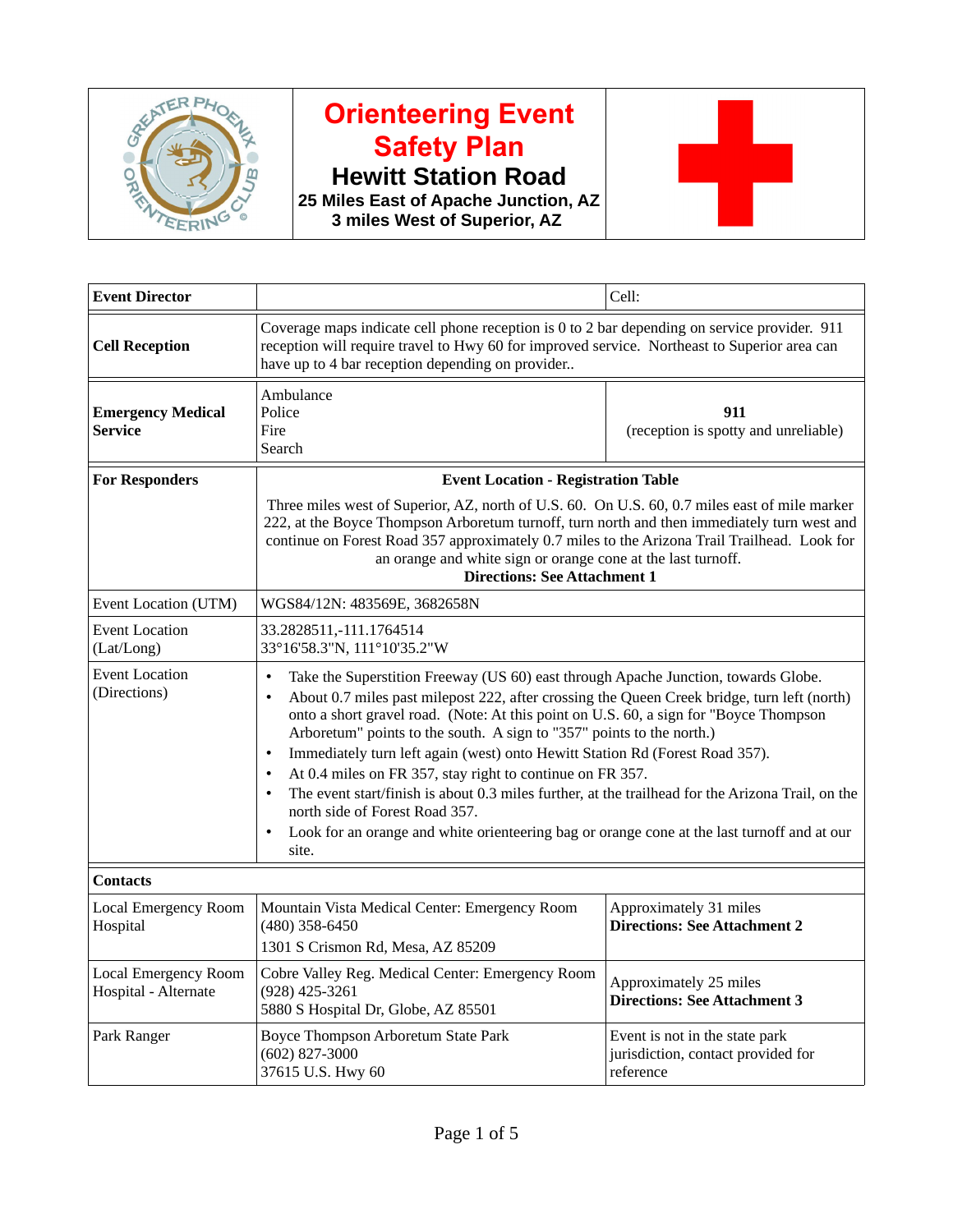

## **Orienteering Event Safety Plan**

**Hewitt Station Road**

**25 Miles East of Apache Junction, AZ 3 miles West of Superior, AZ** 



| <b>Event Director</b>                        |                                                                                                                                                                                                                                                                                                                                                                                                                                                                                                                                                                                                                                                                                                                                                                                                     | Cell:                                                                             |  |
|----------------------------------------------|-----------------------------------------------------------------------------------------------------------------------------------------------------------------------------------------------------------------------------------------------------------------------------------------------------------------------------------------------------------------------------------------------------------------------------------------------------------------------------------------------------------------------------------------------------------------------------------------------------------------------------------------------------------------------------------------------------------------------------------------------------------------------------------------------------|-----------------------------------------------------------------------------------|--|
| <b>Cell Reception</b>                        | Coverage maps indicate cell phone reception is 0 to 2 bar depending on service provider. 911<br>reception will require travel to Hwy 60 for improved service. Northeast to Superior area can<br>have up to 4 bar reception depending on provider                                                                                                                                                                                                                                                                                                                                                                                                                                                                                                                                                    |                                                                                   |  |
| <b>Emergency Medical</b><br><b>Service</b>   | Ambulance<br>Police<br>Fire<br>Search                                                                                                                                                                                                                                                                                                                                                                                                                                                                                                                                                                                                                                                                                                                                                               | 911<br>(reception is spotty and unreliable)                                       |  |
| <b>For Responders</b>                        | <b>Event Location - Registration Table</b><br>Three miles west of Superior, AZ, north of U.S. 60. On U.S. 60, 0.7 miles east of mile marker<br>222, at the Boyce Thompson Arboretum turnoff, turn north and then immediately turn west and<br>continue on Forest Road 357 approximately 0.7 miles to the Arizona Trail Trailhead. Look for<br>an orange and white sign or orange cone at the last turnoff.<br><b>Directions: See Attachment 1</b>                                                                                                                                                                                                                                                                                                                                                   |                                                                                   |  |
| Event Location (UTM)                         | WGS84/12N: 483569E, 3682658N                                                                                                                                                                                                                                                                                                                                                                                                                                                                                                                                                                                                                                                                                                                                                                        |                                                                                   |  |
| <b>Event Location</b><br>(Lat/Long)          | 33.2828511,-111.1764514<br>33°16'58.3"N, 111°10'35.2"W                                                                                                                                                                                                                                                                                                                                                                                                                                                                                                                                                                                                                                                                                                                                              |                                                                                   |  |
| <b>Event Location</b><br>(Directions)        | Take the Superstition Freeway (US 60) east through Apache Junction, towards Globe.<br>$\bullet$<br>About 0.7 miles past milepost 222, after crossing the Queen Creek bridge, turn left (north)<br>onto a short gravel road. (Note: At this point on U.S. 60, a sign for "Boyce Thompson<br>Arboretum" points to the south. A sign to "357" points to the north.)<br>Immediately turn left again (west) onto Hewitt Station Rd (Forest Road 357).<br>$\bullet$<br>At 0.4 miles on FR 357, stay right to continue on FR 357.<br>$\bullet$<br>The event start/finish is about 0.3 miles further, at the trailhead for the Arizona Trail, on the<br>north side of Forest Road 357.<br>Look for an orange and white orienteering bag or orange cone at the last turnoff and at our<br>$\bullet$<br>site. |                                                                                   |  |
| <b>Contacts</b>                              |                                                                                                                                                                                                                                                                                                                                                                                                                                                                                                                                                                                                                                                                                                                                                                                                     |                                                                                   |  |
| Local Emergency Room<br>Hospital             | Mountain Vista Medical Center: Emergency Room<br>$(480)$ 358-6450<br>1301 S Crismon Rd, Mesa, AZ 85209                                                                                                                                                                                                                                                                                                                                                                                                                                                                                                                                                                                                                                                                                              | Approximately 31 miles<br><b>Directions: See Attachment 2</b>                     |  |
| Local Emergency Room<br>Hospital - Alternate | Cobre Valley Reg. Medical Center: Emergency Room<br>$(928)$ 425-3261<br>5880 S Hospital Dr, Globe, AZ 85501                                                                                                                                                                                                                                                                                                                                                                                                                                                                                                                                                                                                                                                                                         | Approximately 25 miles<br><b>Directions: See Attachment 3</b>                     |  |
| Park Ranger                                  | Boyce Thompson Arboretum State Park<br>$(602)$ 827-3000<br>37615 U.S. Hwy 60                                                                                                                                                                                                                                                                                                                                                                                                                                                                                                                                                                                                                                                                                                                        | Event is not in the state park<br>jurisdiction, contact provided for<br>reference |  |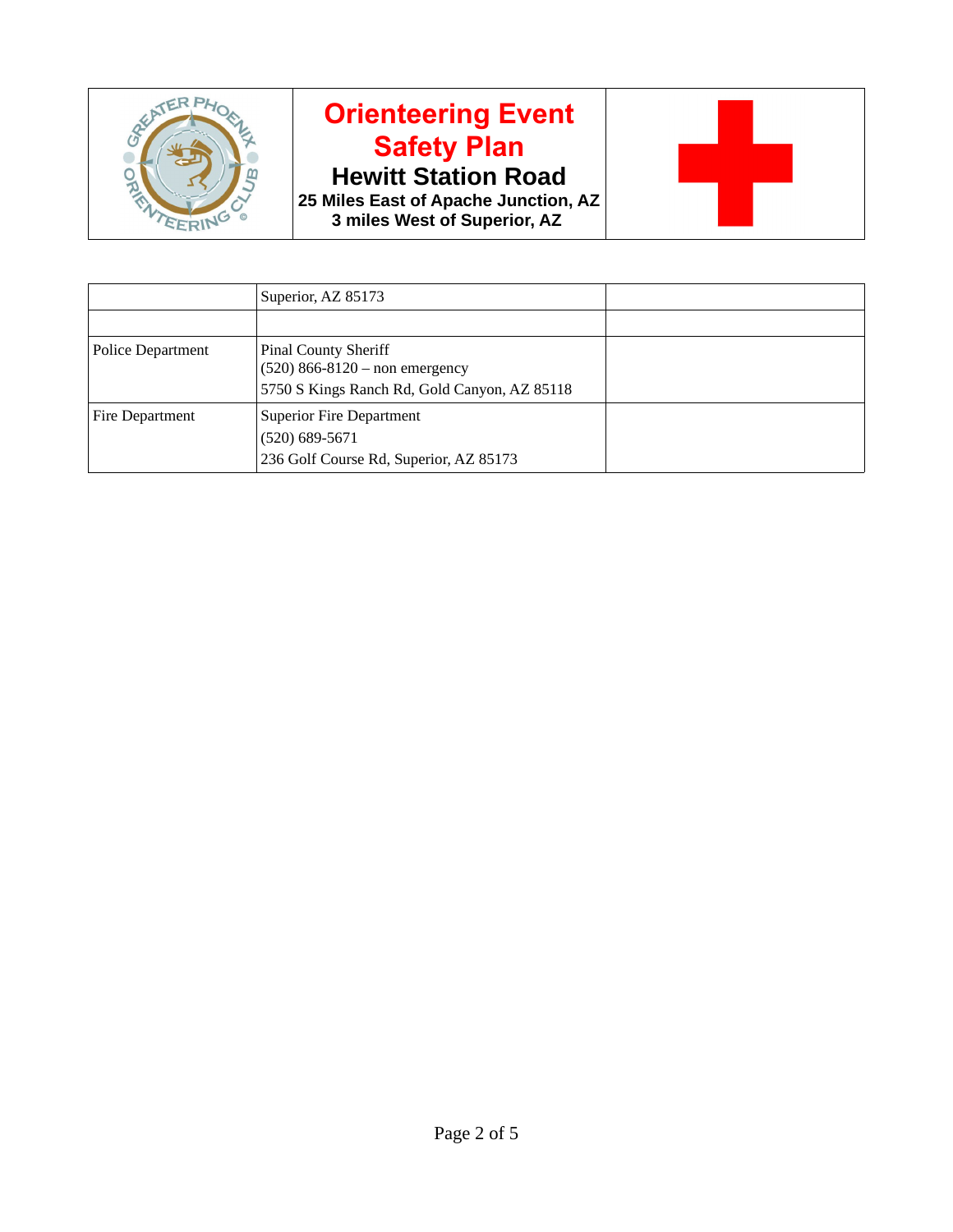

## **Orienteering Event Safety Plan**

**Hewitt Station Road**

**25 Miles East of Apache Junction, AZ 3 miles West of Superior, AZ** 



|                   | Superior, AZ 85173                                                |  |
|-------------------|-------------------------------------------------------------------|--|
|                   |                                                                   |  |
| Police Department | <b>Pinal County Sheriff</b><br>$(520) 866 - 8120 -$ non emergency |  |
|                   | 5750 S Kings Ranch Rd, Gold Canyon, AZ 85118                      |  |
| Fire Department   | <b>Superior Fire Department</b><br>$(520)$ 689-5671               |  |
|                   | 236 Golf Course Rd, Superior, AZ 85173                            |  |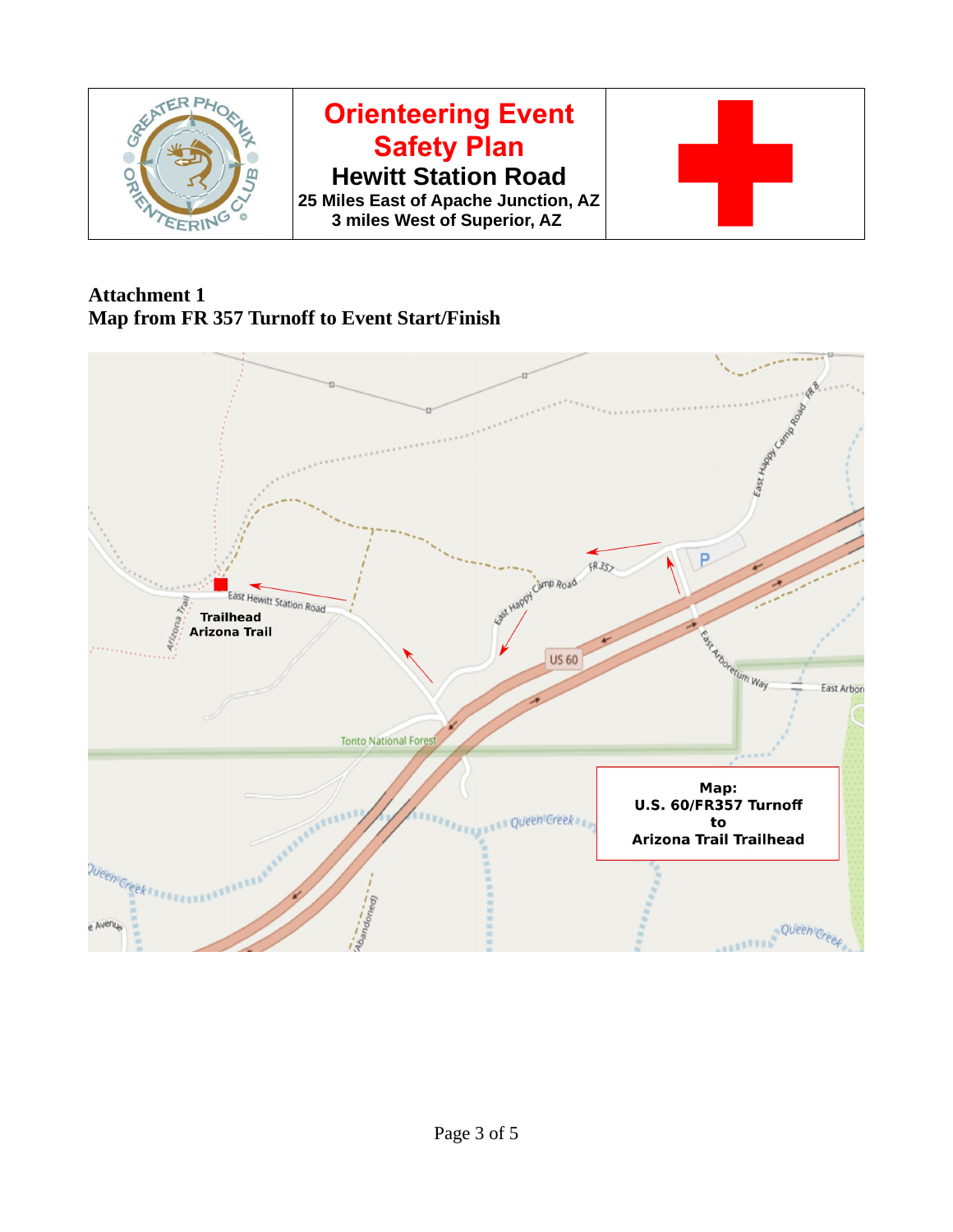

**Attachment 1 Map from FR 357 Turnoff to Event Start/Finish**

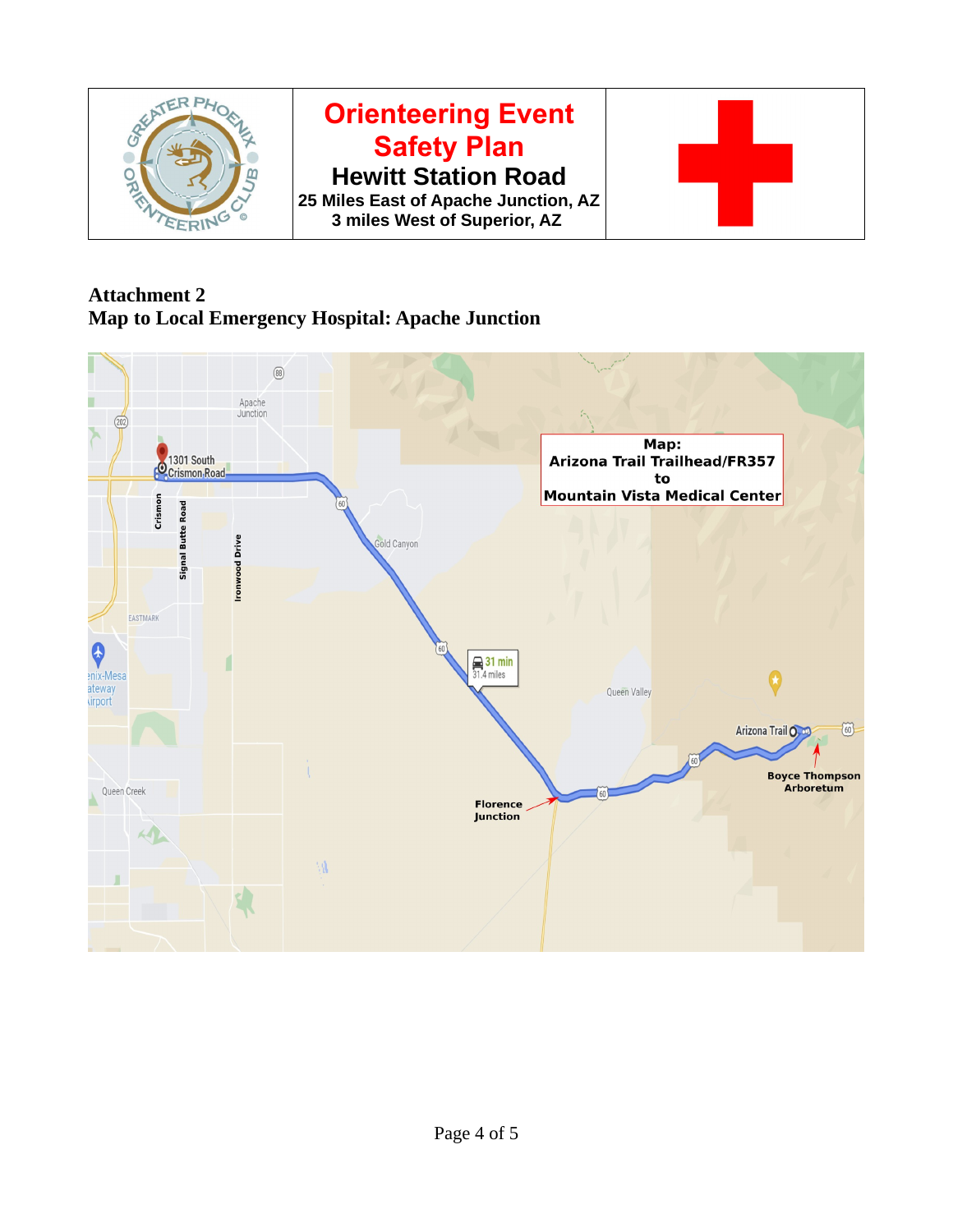

## **Attachment 2 Map to Local Emergency Hospital: Apache Junction**